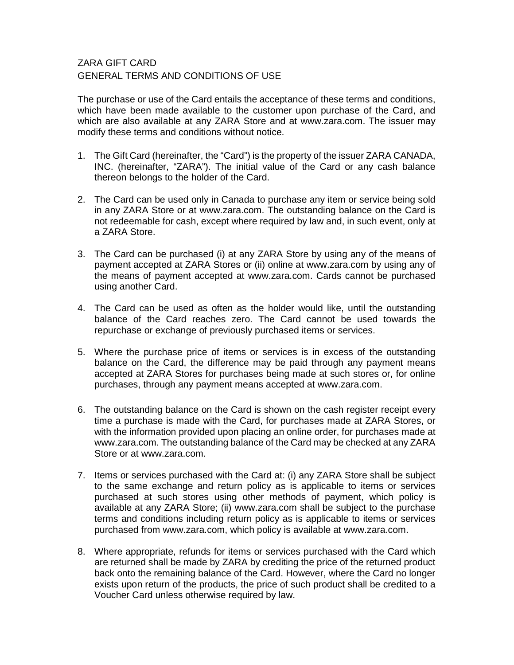## ZARA GIFT CARD GENERAL TERMS AND CONDITIONS OF USE

The purchase or use of the Card entails the acceptance of these terms and conditions, which have been made available to the customer upon purchase of the Card, and which are also available at any ZARA Store and at www.zara.com. The issuer may modify these terms and conditions without notice.

- 1. The Gift Card (hereinafter, the "Card") is the property of the issuer ZARA CANADA, INC. (hereinafter, "ZARA"). The initial value of the Card or any cash balance thereon belongs to the holder of the Card.
- 2. The Card can be used only in Canada to purchase any item or service being sold in any ZARA Store or at www.zara.com. The outstanding balance on the Card is not redeemable for cash, except where required by law and, in such event, only at a ZARA Store.
- 3. The Card can be purchased (i) at any ZARA Store by using any of the means of payment accepted at ZARA Stores or (ii) online at www.zara.com by using any of the means of payment accepted at www.zara.com. Cards cannot be purchased using another Card.
- 4. The Card can be used as often as the holder would like, until the outstanding balance of the Card reaches zero. The Card cannot be used towards the repurchase or exchange of previously purchased items or services.
- 5. Where the purchase price of items or services is in excess of the outstanding balance on the Card, the difference may be paid through any payment means accepted at ZARA Stores for purchases being made at such stores or, for online purchases, through any payment means accepted at www.zara.com.
- 6. The outstanding balance on the Card is shown on the cash register receipt every time a purchase is made with the Card, for purchases made at ZARA Stores, or with the information provided upon placing an online order, for purchases made at www.zara.com. The outstanding balance of the Card may be checked at any ZARA Store or at www.zara.com.
- 7. Items or services purchased with the Card at: (i) any ZARA Store shall be subject to the same exchange and return policy as is applicable to items or services purchased at such stores using other methods of payment, which policy is available at any ZARA Store; (ii) www.zara.com shall be subject to the purchase terms and conditions including return policy as is applicable to items or services purchased from www.zara.com, which policy is available at www.zara.com.
- 8. Where appropriate, refunds for items or services purchased with the Card which are returned shall be made by ZARA by crediting the price of the returned product back onto the remaining balance of the Card. However, where the Card no longer exists upon return of the products, the price of such product shall be credited to a Voucher Card unless otherwise required by law.